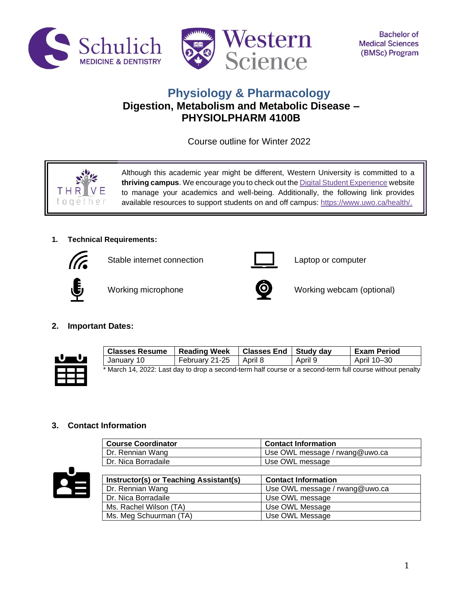



# **Physiology & Pharmacology Digestion, Metabolism and Metabolic Disease – PHYSIOLPHARM 4100B**

Course outline for Winter 2022



Although this academic year might be different, Western University is committed to a **thriving campus**. We encourage you to check out th[e Digital Student Experience](https://www.uwo.ca/se/digital/) website to manage your academics and well-being. Additionally, the following link provides available resources to support students on and off campus: [https://www.uwo.ca/health/.](https://www.uwo.ca/health/)

# **1. Technical Requirements:**



Stable internet connection **Laptop** computer







Working microphone **Working webcam** (optional)

# **2. Important Dates:**



| <b>Classes Resume</b>                                                                                     | Reading Week             | Classes End   Study day |         | <b>Exam Period</b> |
|-----------------------------------------------------------------------------------------------------------|--------------------------|-------------------------|---------|--------------------|
| January 10                                                                                                | February 21-25   April 8 |                         | April 9 | April 10–30        |
| * March 14, 2022: Last day to drop a second-term half course or a second-term full course without penalty |                          |                         |         |                    |

# **3. Contact Information**

| <b>Course Coordinator</b>              | <b>Contact Information</b>     |
|----------------------------------------|--------------------------------|
| Dr. Rennian Wang                       | Use OWL message / rwang@uwo.ca |
| Dr. Nica Borradaile                    | Use OWL message                |
|                                        |                                |
| Instructor(s) or Teaching Assistant(s) | <b>Contact Information</b>     |
| Dr. Rennian Wang                       | Use OWL message / rwang@uwo.ca |
| Dr. Nica Borradaile                    | Use OWL message                |
| Ms. Rachel Wilson (TA)                 | Use OWL Message                |
| Ms. Meg Schuurman (TA)                 | Use OWL Message                |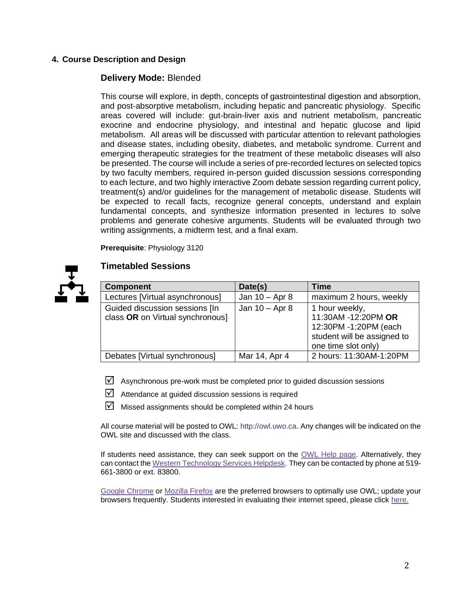# **4. Course Description and Design**

# **Delivery Mode:** Blended

This course will explore, in depth, concepts of gastrointestinal digestion and absorption, and post-absorptive metabolism, including hepatic and pancreatic physiology. Specific areas covered will include: gut-brain-liver axis and nutrient metabolism, pancreatic exocrine and endocrine physiology, and intestinal and hepatic glucose and lipid metabolism. All areas will be discussed with particular attention to relevant pathologies and disease states, including obesity, diabetes, and metabolic syndrome. Current and emerging therapeutic strategies for the treatment of these metabolic diseases will also be presented. The course will include a series of pre-recorded lectures on selected topics by two faculty members, required in-person guided discussion sessions corresponding to each lecture, and two highly interactive Zoom debate session regarding current policy, treatment(s) and/or guidelines for the management of metabolic disease. Students will be expected to recall facts, recognize general concepts, understand and explain fundamental concepts, and synthesize information presented in lectures to solve problems and generate cohesive arguments. Students will be evaluated through two writing assignments, a midterm test, and a final exam.

**Prerequisite**: Physiology 3120



# **Timetabled Sessions**

| <b>Component</b>                                                   | Date(s)          | Time                                                                                                                 |
|--------------------------------------------------------------------|------------------|----------------------------------------------------------------------------------------------------------------------|
| Lectures [Virtual asynchronous]                                    | Jan $10 -$ Apr 8 | maximum 2 hours, weekly                                                                                              |
| Guided discussion sessions [In<br>class OR on Virtual synchronous] | Jan $10 -$ Apr 8 | 1 hour weekly,<br>11:30AM -12:20PM OR<br>12:30PM -1:20PM (each<br>student will be assigned to<br>one time slot only) |
| Debates [Virtual synchronous]                                      | Mar 14, Apr 4    | 2 hours: 11:30AM-1:20PM                                                                                              |

 $\boxtimes$  Asynchronous pre-work must be completed prior to guided discussion sessions

 $\boxdot$  Attendance at guided discussion sessions is required

 $\boxtimes$  Missed assignments should be completed within 24 hours

All course material will be posted to OWL: http://owl.uwo.ca. Any changes will be indicated on the OWL site and discussed with the class.

If students need assistance, they can seek support on the [OWL Help page.](https://owlhelp.uwo.ca/students/index.html) Alternatively, they can contact the [Western Technology Services Helpdesk.](https://wts.uwo.ca/helpdesk/) They can be contacted by phone at 519- 661-3800 or ext. 83800.

[Google Chrome](https://www.google.ca/chrome/?brand=CHBD&gclid=CjwKCAjwxLH3BRApEiwAqX9arfg8JaH6fWGASk9bHTkfW_dyBir93A1-TliP-7u1Kguf-WZsoGAPhBoC9NYQAvD_BwE&gclsrc=aw.ds) or [Mozilla Firefox](https://www.mozilla.org/en-CA/) are the preferred browsers to optimally use OWL; update your browsers frequently. Students interested in evaluating their internet speed, please click [here.](https://www.google.com/search?q=internet+speed+test+google&rlz=1C5CHFA_enCA702CA702&oq=internet+speed+test+google&aqs=chrome..69i57j0l7.3608j0j4&sourceid=chrome&ie=UTF-8)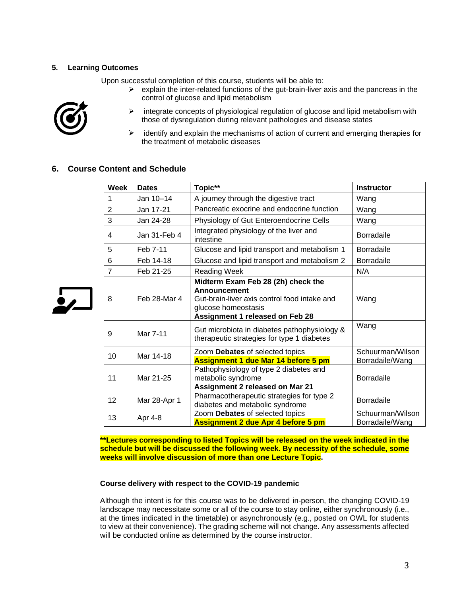## **5. Learning Outcomes**

Upon successful completion of this course, students will be able to:



 $\frac{1}{2}$ 

- $\triangleright$  explain the inter-related functions of the gut-brain-liver axis and the pancreas in the control of glucose and lipid metabolism
- $\blacktriangleright$ integrate concepts of physiological regulation of glucose and lipid metabolism with those of dysregulation during relevant pathologies and disease states
- ➤ identify and explain the mechanisms of action of current and emerging therapies for the treatment of metabolic diseases

# **6. Course Content and Schedule**

| <b>Week</b>    | <b>Dates</b> | Topic**                                                                                                                                                                    | <b>Instructor</b>                   |
|----------------|--------------|----------------------------------------------------------------------------------------------------------------------------------------------------------------------------|-------------------------------------|
| 1              | Jan 10-14    | A journey through the digestive tract                                                                                                                                      | Wang                                |
| $\overline{2}$ | Jan 17-21    | Pancreatic exocrine and endocrine function                                                                                                                                 | Wang                                |
| 3              | Jan 24-28    | Physiology of Gut Enteroendocrine Cells                                                                                                                                    | Wang                                |
| 4              | Jan 31-Feb 4 | Integrated physiology of the liver and<br>intestine                                                                                                                        | <b>Borradaile</b>                   |
| 5              | Feb 7-11     | Glucose and lipid transport and metabolism 1                                                                                                                               | Borradaile                          |
| 6              | Feb 14-18    | Glucose and lipid transport and metabolism 2                                                                                                                               | <b>Borradaile</b>                   |
| $\overline{7}$ | Feb 21-25    | <b>Reading Week</b>                                                                                                                                                        | N/A                                 |
| 8              | Feb 28-Mar 4 | Midterm Exam Feb 28 (2h) check the<br><b>Announcement</b><br>Gut-brain-liver axis control food intake and<br>glucose homeostasis<br><b>Assignment 1 released on Feb 28</b> | Wang                                |
| 9              | Mar 7-11     | Gut microbiota in diabetes pathophysiology &<br>therapeutic strategies for type 1 diabetes                                                                                 | Wang                                |
| 10             | Mar 14-18    | Zoom Debates of selected topics<br>Assignment 1 due Mar 14 before 5 pm                                                                                                     | Schuurman/Wilson<br>Borradaile/Wang |
| 11             | Mar 21-25    | Pathophysiology of type 2 diabetes and<br>metabolic syndrome<br><b>Assignment 2 released on Mar 21</b>                                                                     | <b>Borradaile</b>                   |
| 12             | Mar 28-Apr 1 | Pharmacotherapeutic strategies for type 2<br>diabetes and metabolic syndrome                                                                                               | <b>Borradaile</b>                   |
| 13             | Apr 4-8      | Zoom Debates of selected topics<br>Assignment 2 due Apr 4 before 5 pm                                                                                                      | Schuurman/Wilson<br>Borradaile/Wang |

**\*\*Lectures corresponding to listed Topics will be released on the week indicated in the schedule but will be discussed the following week. By necessity of the schedule, some weeks will involve discussion of more than one Lecture Topic.**

### **Course delivery with respect to the COVID-19 pandemic**

Although the intent is for this course was to be delivered in-person, the changing COVID-19 landscape may necessitate some or all of the course to stay online, either synchronously (i.e., at the times indicated in the timetable) or asynchronously (e.g., posted on OWL for students to view at their convenience). The grading scheme will not change. Any assessments affected will be conducted online as determined by the course instructor.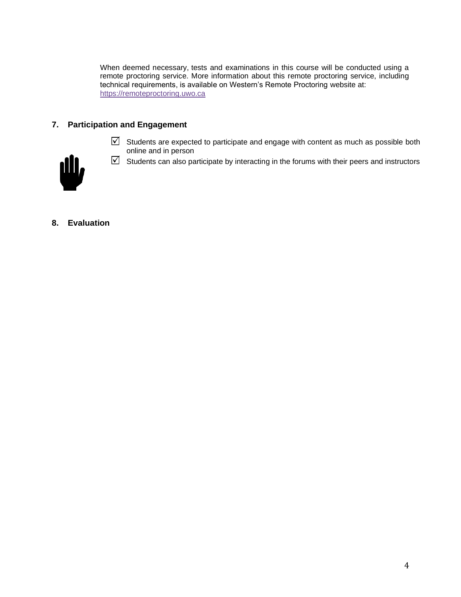When deemed necessary, tests and examinations in this course will be conducted using a remote proctoring service. More information about this remote proctoring service, including technical requirements, is available on Western's Remote Proctoring website at: [https://remoteproctoring.uwo.ca](https://remoteproctoring.uwo.ca/)

# **7. Participation and Engagement**

 $\boxdot$  Students are expected to participate and engage with content as much as possible both online and in person



- $\boxdot$  Students can also participate by interacting in the forums with their peers and instructors
- **8. Evaluation**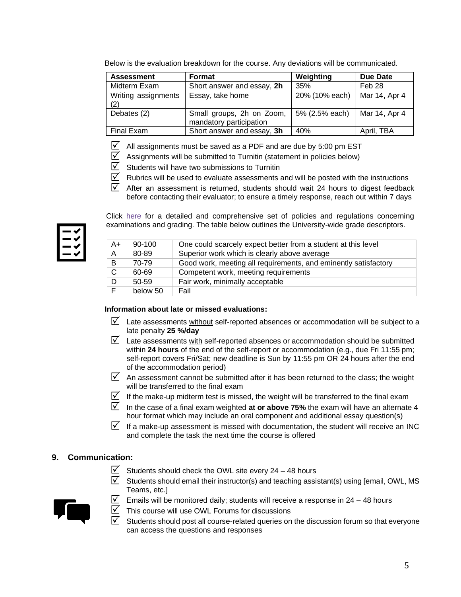| Below is the evaluation breakdown for the course. Any deviations will be communicated. |  |
|----------------------------------------------------------------------------------------|--|
|----------------------------------------------------------------------------------------|--|

| <b>Assessment</b>          | <b>Format</b>                                        | Weighting      | Due Date      |
|----------------------------|------------------------------------------------------|----------------|---------------|
| Midterm Exam               | Short answer and essay, 2h                           | 35%            | Feb 28        |
| Writing assignments<br>(2) | Essay, take home                                     | 20% (10% each) | Mar 14, Apr 4 |
| Debates (2)                | Small groups, 2h on Zoom,<br>mandatory participation | 5% (2.5% each) | Mar 14, Apr 4 |
| Final Exam                 | Short answer and essay, 3h                           | 40%            | April, TBA    |

- $\nabla$ All assignments must be saved as a PDF and are due by 5:00 pm EST
- $\sqrt{}$ Assignments will be submitted to Turnitin (statement in policies below)
- $\triangledown$ Students will have two submissions to Turnitin
- $\sqrt{ }$ Rubrics will be used to evaluate assessments and will be posted with the instructions
- ☑ After an assessment is returned, students should wait 24 hours to digest feedback before contacting their evaluator; to ensure a timely response, reach out within 7 days

Click [here](https://www.westerncalendar.uwo.ca/PolicyPages.cfm?Command=showCategory&PolicyCategoryID=5&SelectedCalendar=Live&ArchiveID=#SubHeading_73) for a detailed and comprehensive set of policies and regulations concerning examinations and grading. The table below outlines the University-wide grade descriptors.

| $A+$ | 90-100   | One could scarcely expect better from a student at this level   |
|------|----------|-----------------------------------------------------------------|
| Α    | 80-89    | Superior work which is clearly above average                    |
| B    | 70-79    | Good work, meeting all requirements, and eminently satisfactory |
| C    | 60-69    | Competent work, meeting requirements                            |
| D    | 50-59    | Fair work, minimally acceptable                                 |
| F    | below 50 | Fail                                                            |

### **Information about late or missed evaluations:**

- $\boxtimes$  Late assessments without self-reported absences or accommodation will be subject to a late penalty **25 %/day**
- $\boxtimes$  Late assessments with self-reported absences or accommodation should be submitted within **24 hours** of the end of the self-report or accommodation (e.g., due Fri 11:55 pm; self-report covers Fri/Sat; new deadline is Sun by 11:55 pm OR 24 hours after the end of the accommodation period)
- $\boxtimes$  An assessment cannot be submitted after it has been returned to the class; the weight will be transferred to the final exam
- If the make-up midterm test is missed, the weight will be transferred to the final exam
- In the case of a final exam weighted **at or above 75%** the exam will have an alternate 4 hour format which may include an oral component and additional essay question(s)
- If a make-up assessment is missed with documentation, the student will receive an INC and complete the task the next time the course is offered

## **9. Communication:**

- $\boxtimes$  Students should check the OWL site every 24 48 hours
- $\boxtimes$  Students should email their instructor(s) and teaching assistant(s) using [email, OWL, MS Teams, etc.]



- $\triangledown$  Emails will be monitored daily; students will receive a response in 24 48 hours
- $\triangledown$  This course will use OWL Forums for discussions
- $\overline{\mathcal{M}}$ Students should post all course-related queries on the discussion forum so that everyone can access the questions and responses

5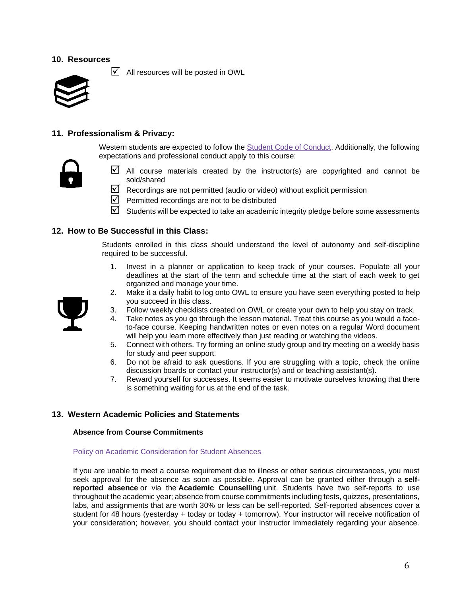# **10. Resources**

 $\blacksquare$  All resources will be posted in OWL



# **11. Professionalism & Privacy:**

Western students are expected to follow the [Student Code of Conduct.](https://www.uwo.ca/univsec/pdf/board/code.pdf) Additionally, the following expectations and professional conduct apply to this course:



- $\boxtimes$  All course materials created by the instructor(s) are copyrighted and cannot be sold/shared
- $\boxtimes$  Recordings are not permitted (audio or video) without explicit permission
- $\triangledown$  Permitted recordings are not to be distributed
- $\boxtimes$  Students will be expected to take an academic integrity pledge before some assessments

### **12. How to Be Successful in this Class:**

Students enrolled in this class should understand the level of autonomy and self-discipline required to be successful.

- 1. Invest in a planner or application to keep track of your courses. Populate all your deadlines at the start of the term and schedule time at the start of each week to get organized and manage your time.
- 2. Make it a daily habit to log onto OWL to ensure you have seen everything posted to help you succeed in this class.
- 3. Follow weekly checklists created on OWL or create your own to help you stay on track.
- 4. Take notes as you go through the lesson material. Treat this course as you would a faceto-face course. Keeping handwritten notes or even notes on a regular Word document will help you learn more effectively than just reading or watching the videos.
- 5. Connect with others. Try forming an online study group and try meeting on a weekly basis for study and peer support.
- 6. Do not be afraid to ask questions. If you are struggling with a topic, check the online discussion boards or contact your instructor(s) and or teaching assistant(s).
- 7. Reward yourself for successes. It seems easier to motivate ourselves knowing that there is something waiting for us at the end of the task.

## **13. Western Academic Policies and Statements**

#### **Absence from Course Commitments**

#### [Policy on Academic Consideration for Student Absences](https://www.uwo.ca/univsec/pdf/academic_policies/appeals/accommodation_illness.pdf)

If you are unable to meet a course requirement due to illness or other serious circumstances, you must seek approval for the absence as soon as possible. Approval can be granted either through a **selfreported absence** or via the **Academic Counselling** unit. Students have two self-reports to use throughout the academic year; absence from course commitments including tests, quizzes, presentations, labs, and assignments that are worth 30% or less can be self-reported. Self-reported absences cover a student for 48 hours (yesterday + today or today + tomorrow). Your instructor will receive notification of your consideration; however, you should contact your instructor immediately regarding your absence.

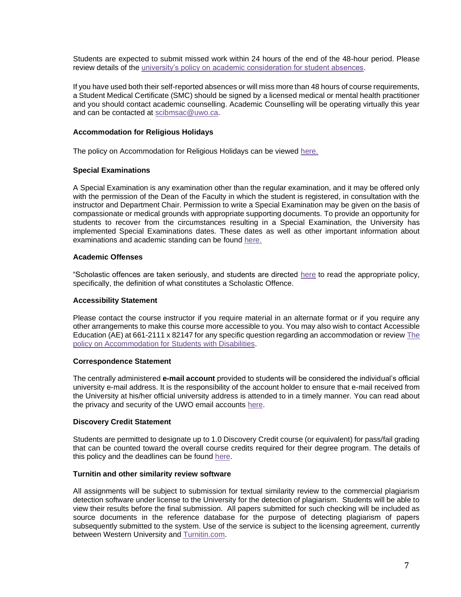Students are expected to submit missed work within 24 hours of the end of the 48-hour period. Please review details of the [university's policy on academic consideration for student absences.](https://www.uwo.ca/univsec/pdf/academic_policies/appeals/Academic_Consideration_for_absences.pdf)

If you have used both their self-reported absences or will miss more than 48 hours of course requirements, a Student Medical Certificate (SMC) should be signed by a licensed medical or mental health practitioner and you should contact academic counselling. Academic Counselling will be operating virtually this year and can be contacted at [scibmsac@uwo.ca.](mailto:scibmsac@uwo.ca)

### **Accommodation for Religious Holidays**

The policy on Accommodation for Religious Holidays can be viewed [here.](https://www.uwo.ca/univsec/pdf/academic_policies/appeals/accommodation_religious.pdf)

#### **Special Examinations**

A Special Examination is any examination other than the regular examination, and it may be offered only with the permission of the Dean of the Faculty in which the student is registered, in consultation with the instructor and Department Chair. Permission to write a Special Examination may be given on the basis of compassionate or medical grounds with appropriate supporting documents. To provide an opportunity for students to recover from the circumstances resulting in a Special Examination, the University has implemented Special Examinations dates. These dates as well as other important information about examinations and academic standing can be found [here.](http://www.uwo.ca/univsec/pdf/academic_policies/exam/definitions.pdf)

#### **Academic Offenses**

"Scholastic offences are taken seriously, and students are directed [here](http://www.uwo.ca/univsec/pdf/academic_policies/appeals/scholastic_discipline_undergrad.pdf) to read the appropriate policy, specifically, the definition of what constitutes a Scholastic Offence.

#### **Accessibility Statement**

Please contact the course instructor if you require material in an alternate format or if you require any other arrangements to make this course more accessible to you. You may also wish to contact Accessible Education (AE) at 661-2111 x 82147 for any specific question regarding an accommodation or revie[w The](https://www.uwo.ca/univsec/pdf/academic_policies/appeals/Academic%20Accommodation_disabilities.pdf)  [policy on Accommodation for Students with Disabilities.](https://www.uwo.ca/univsec/pdf/academic_policies/appeals/Academic%20Accommodation_disabilities.pdf)

#### **Correspondence Statement**

The centrally administered **e-mail account** provided to students will be considered the individual's official university e-mail address. It is the responsibility of the account holder to ensure that e-mail received from the University at his/her official university address is attended to in a timely manner. You can read about the privacy and security of the UWO email accounts [here.](https://www.uwo.ca/univsec/privacy/faq.html#ShouldIUse)

#### **Discovery Credit Statement**

Students are permitted to designate up to 1.0 Discovery Credit course (or equivalent) for pass/fail grading that can be counted toward the overall course credits required for their degree program. The details of this policy and the deadlines can be found [here.](https://www.uwo.ca/univsec/pdf/academic_policies/registration_progression_grad/coursecredit.pdf)

#### **Turnitin and other similarity review software**

All assignments will be subject to submission for textual similarity review to the commercial plagiarism detection software under license to the University for the detection of plagiarism. Students will be able to view their results before the final submission. All papers submitted for such checking will be included as source documents in the reference database for the purpose of detecting plagiarism of papers subsequently submitted to the system. Use of the service is subject to the licensing agreement, currently between Western University and [Turnitin.com.](http://www.turnitin.com/)